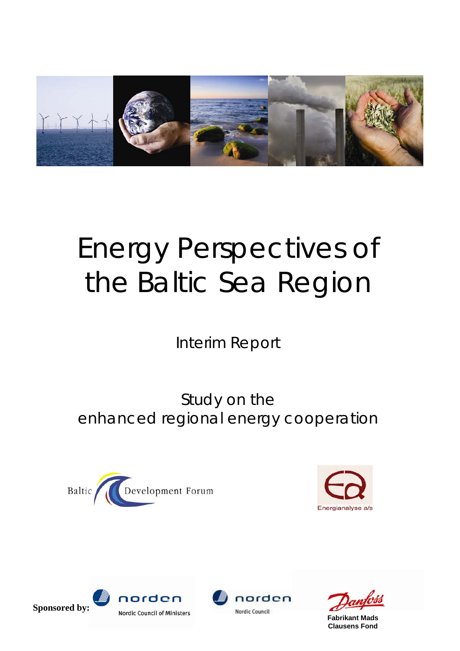

# Energy Perspectives of the Baltic Sea Region

Interim Report

Study on the enhanced regional energy cooperation









**Fabrikant Mads Clausens Fond**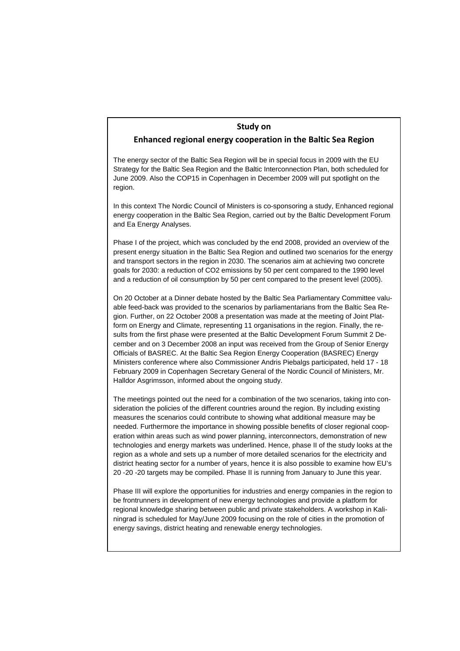## **Study on**

## **Enhanced regional energy cooperation in the Baltic Sea Region**

The energy sector of the Baltic Sea Region will be in special focus in 2009 with the EU Strategy for the Baltic Sea Region and the Baltic Interconnection Plan, both scheduled for June 2009. Also the COP15 in Copenhagen in December 2009 will put spotlight on the region.

In this context The Nordic Council of Ministers is co-sponsoring a study, Enhanced regional energy cooperation in the Baltic Sea Region, carried out by the Baltic Development Forum and Ea Energy Analyses.

Phase I of the project, which was concluded by the end 2008, provided an overview of the present energy situation in the Baltic Sea Region and outlined two scenarios for the energy and transport sectors in the region in 2030. The scenarios aim at achieving two concrete goals for 2030: a reduction of CO2 emissions by 50 per cent compared to the 1990 level and a reduction of oil consumption by 50 per cent compared to the present level (2005).

On 20 October at a Dinner debate hosted by the Baltic Sea Parliamentary Committee valuable feed-back was provided to the scenarios by parliamentarians from the Baltic Sea Region. Further, on 22 October 2008 a presentation was made at the meeting of Joint Platform on Energy and Climate, representing 11 organisations in the region. Finally, the results from the first phase were presented at the Baltic Development Forum Summit 2 December and on 3 December 2008 an input was received from the Group of Senior Energy Officials of BASREC. At the Baltic Sea Region Energy Cooperation (BASREC) Energy Ministers conference where also Commissioner Andris Piebalgs participated, held 17 - 18 February 2009 in Copenhagen Secretary General of the Nordic Council of Ministers, Mr. Halldor Asgrimsson, informed about the ongoing study.

The meetings pointed out the need for a combination of the two scenarios, taking into consideration the policies of the different countries around the region. By including existing measures the scenarios could contribute to showing what additional measure may be needed. Furthermore the importance in showing possible benefits of closer regional cooperation within areas such as wind power planning, interconnectors, demonstration of new technologies and energy markets was underlined. Hence, phase II of the study looks at the region as a whole and sets up a number of more detailed scenarios for the electricity and district heating sector for a number of years, hence it is also possible to examine how EU's 20 -20 -20 targets may be compiled. Phase II is running from January to June this year.

Phase III will explore the opportunities for industries and energy companies in the region to be frontrunners in development of new energy technologies and provide a platform for regional knowledge sharing between public and private stakeholders. A workshop in Kaliningrad is scheduled for May/June 2009 focusing on the role of cities in the promotion of energy savings, district heating and renewable energy technologies.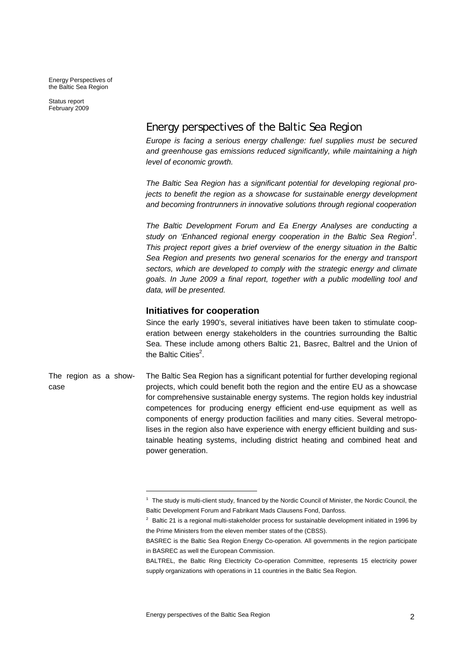Energy Perspectives of the Baltic Sea Region

Status report February 2009

# Energy perspectives of the Baltic Sea Region

*Europe is facing a serious energy challenge: fuel supplies must be secured and greenhouse gas emissions reduced significantly, while maintaining a high level of economic growth.* 

*The Baltic Sea Region has a significant potential for developing regional projects to benefit the region as a showcase for sustainable energy development and becoming frontrunners in innovative solutions through regional cooperation* 

*The Baltic Development Forum and Ea Energy Analyses are conducting a*  study on 'Enhanced regional energy cooperation in the Baltic Sea Region<sup>1</sup>. *This project report gives a brief overview of the energy situation in the Baltic Sea Region and presents two general scenarios for the energy and transport sectors, which are developed to comply with the strategic energy and climate goals. In June 2009 a final report, together with a public modelling tool and data, will be presented.* 

## **Initiatives for cooperation**

Since the early 1990's, several initiatives have been taken to stimulate cooperation between energy stakeholders in the countries surrounding the Baltic Sea. These include among others Baltic 21, Basrec, Baltrel and the Union of the Baltic Cities $^2$ .

The Baltic Sea Region has a significant potential for further developing regional projects, which could benefit both the region and the entire EU as a showcase for comprehensive sustainable energy systems. The region holds key industrial competences for producing energy efficient end-use equipment as well as components of energy production facilities and many cities. Several metropolises in the region also have experience with energy efficient building and sustainable heating systems, including district heating and combined heat and power generation. The region as a showcase

1

 $1$  The study is multi-client study, financed by the Nordic Council of Minister, the Nordic Council, the Baltic Development Forum and Fabrikant Mads Clausens Fond, Danfoss.

 $2$  Baltic 21 is a regional multi-stakeholder process for sustainable development initiated in 1996 by the Prime Ministers from the eleven member states of the (CBSS).

BASREC is the Baltic Sea Region Energy Co-operation. All governments in the region participate in BASREC as well the European Commission.

BALTREL, the Baltic Ring Electricity Co-operation Committee, represents 15 electricity power supply organizations with operations in 11 countries in the Baltic Sea Region.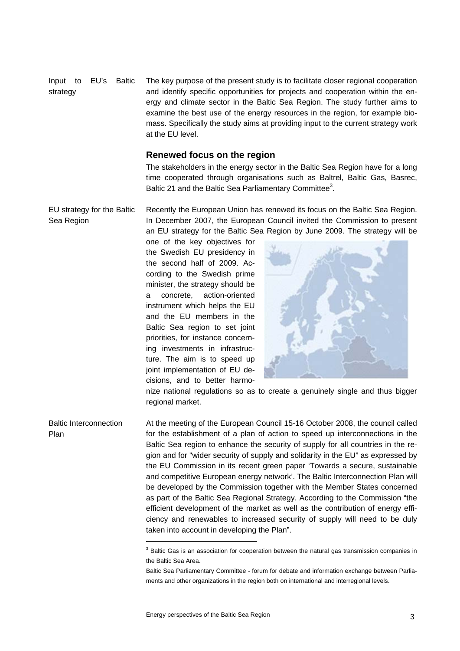The key purpose of the present study is to facilitate closer regional cooperation and identify specific opportunities for projects and cooperation within the energy and climate sector in the Baltic Sea Region. The study further aims to examine the best use of the energy resources in the region, for example biomass. Specifically the study aims at providing input to the current strategy work at the EU level. Input to EU's Baltic strategy

#### **Renewed focus on the region**

The stakeholders in the energy sector in the Baltic Sea Region have for a long time cooperated through organisations such as Baltrel, Baltic Gas, Basrec, Baltic 21 and the Baltic Sea Parliamentary Committee<sup>3</sup>.

Recently the European Union has renewed its focus on the Baltic Sea Region. In December 2007, the European Council invited the Commission to present an EU strategy for the Baltic Sea Region by June 2009. The strategy will be EU strategy for the Baltic Sea Region

> one of the key objectives for the Swedish EU presidency in the second half of 2009. According to the Swedish prime minister, the strategy should be a concrete, action-oriented instrument which helps the EU and the EU members in the Baltic Sea region to set joint priorities, for instance concerning investments in infrastructure. The aim is to speed up joint implementation of EU decisions, and to better harmo-



nize national regulations so as to create a genuinely single and thus bigger regional market.

At the meeting of the European Council 15-16 October 2008, the council called for the establishment of a plan of action to speed up interconnections in the Baltic Sea region to enhance the security of supply for all countries in the region and for "wider security of supply and solidarity in the EU" as expressed by the EU Commission in its recent green paper 'Towards a secure, sustainable and competitive European energy network'. The Baltic Interconnection Plan will be developed by the Commission together with the Member States concerned as part of the Baltic Sea Regional Strategy. According to the Commission "the efficient development of the market as well as the contribution of energy efficiency and renewables to increased security of supply will need to be duly taken into account in developing the Plan". Baltic Interconnection Plan

1

 $3$  Baltic Gas is an association for cooperation between the natural gas transmission companies in the Baltic Sea Area.

Baltic Sea Parliamentary Committee - forum for debate and information exchange between Parliaments and other organizations in the region both on international and interregional levels.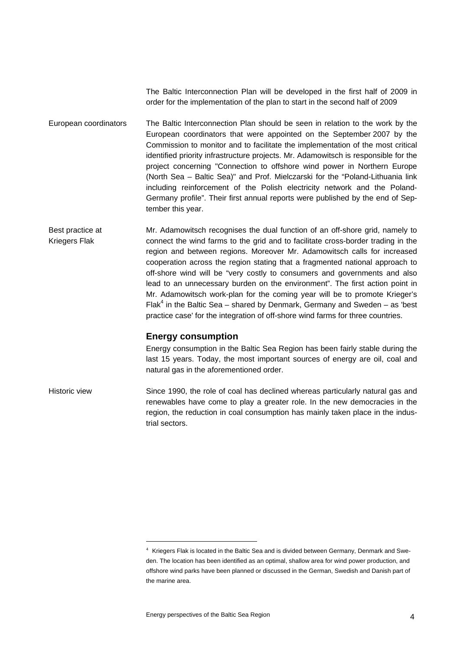The Baltic Interconnection Plan will be developed in the first half of 2009 in order for the implementation of the plan to start in the second half of 2009

The Baltic Interconnection Plan should be seen in relation to the work by the European coordinators that were appointed on the September 2007 by the Commission to monitor and to facilitate the implementation of the most critical identified priority infrastructure projects. Mr. Adamowitsch is responsible for the project concerning "Connection to offshore wind power in Northern Europe (North Sea – Baltic Sea)" and Prof. Mielczarski for the "Poland-Lithuania link including reinforcement of the Polish electricity network and the Poland-Germany profile". Their first annual reports were published by the end of September this year. European coordinators

Mr. Adamowitsch recognises the dual function of an off-shore grid, namely to connect the wind farms to the grid and to facilitate cross-border trading in the region and between regions. Moreover Mr. Adamowitsch calls for increased cooperation across the region stating that a fragmented national approach to off-shore wind will be "very costly to consumers and governments and also lead to an unnecessary burden on the environment". The first action point in Mr. Adamowitsch work-plan for the coming year will be to promote Krieger's Flak<sup>4</sup> in the Baltic Sea – shared by Denmark, Germany and Sweden – as 'best practice case' for the integration of off-shore wind farms for three countries. Best practice at Kriegers Flak

# **Energy consumption**

Energy consumption in the Baltic Sea Region has been fairly stable during the last 15 years. Today, the most important sources of energy are oil, coal and natural gas in the aforementioned order.

Since 1990, the role of coal has declined whereas particularly natural gas and renewables have come to play a greater role. In the new democracies in the region, the reduction in coal consumption has mainly taken place in the industrial sectors. Historic view

1

<sup>4</sup> Kriegers Flak is located in the Baltic Sea and is divided between Germany, Denmark and Sweden. The location has been identified as an optimal, shallow area for wind power production, and offshore wind parks have been planned or discussed in the German, Swedish and Danish part of the marine area.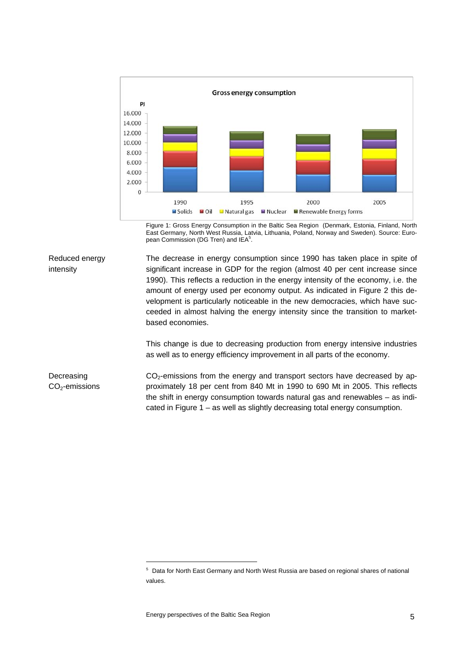

Figure 1: Gross Energy Consumption in the Baltic Sea Region (Denmark, Estonia, Finland, North East Germany, North West Russia, Latvia, Lithuania, Poland, Norway and Sweden). Source: European Commission (DG Tren) and IEA<sup>5</sup>.

Reduced energy intensity

The decrease in energy consumption since 1990 has taken place in spite of significant increase in GDP for the region (almost 40 per cent increase since 1990). This reflects a reduction in the energy intensity of the economy, i.e. the amount of energy used per economy output. As indicated in Figure 2 this development is particularly noticeable in the new democracies, which have succeeded in almost halving the energy intensity since the transition to marketbased economies.

This change is due to decreasing production from energy intensive industries as well as to energy efficiency improvement in all parts of the economy.

 $CO<sub>2</sub>$ -emissions from the energy and transport sectors have decreased by approximately 18 per cent from 840 Mt in 1990 to 690 Mt in 2005. This reflects the shift in energy consumption towards natural gas and renewables – as indicated in Figure 1 – as well as slightly decreasing total energy consumption. Decreasing CO<sub>2</sub>-emissions

<sup>&</sup>lt;sup>5</sup> Data for North East Germany and North West Russia are based on regional shares of national values.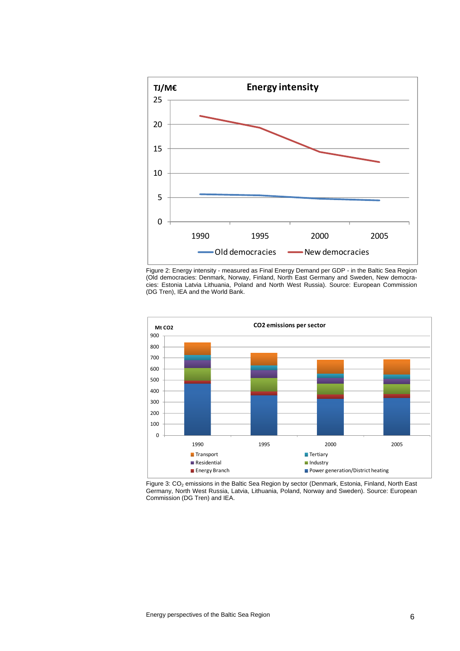

Figure 2: Energy intensity - measured as Final Energy Demand per GDP - in the Baltic Sea Region (Old democracies: Denmark, Norway, Finland, North East Germany and Sweden, New democracies: Estonia Latvia Lithuania, Poland and North West Russia). Source: European Commission (DG Tren), IEA and the World Bank.



Figure 3: CO<sub>2</sub> emissions in the Baltic Sea Region by sector (Denmark, Estonia, Finland, North East Germany, North West Russia, Latvia, Lithuania, Poland, Norway and Sweden). Source: European Commission (DG Tren) and IEA.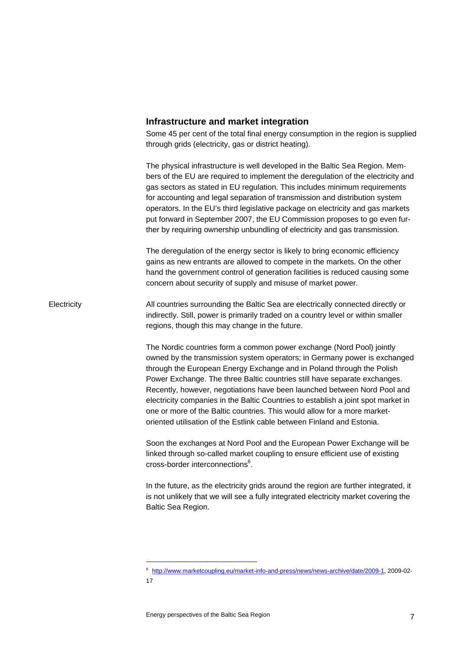#### **Infrastructure and market integration**

Some 45 per cent of the total final energy consumption in the region is supplied through grids (electricity, gas or district heating).

The physical infrastructure is well developed in the Baltic Sea Region. Members of the EU are required to implement the deregulation of the electricity and gas sectors as stated in EU regulation. This includes minimum requirements for accounting and legal separation of transmission and distribution system operators. In the EU's third legislative package on electricity and gas markets put forward in September 2007, the EU Commission proposes to go even further by requiring ownership unbundling of electricity and gas transmission.

The deregulation of the energy sector is likely to bring economic efficiency gains as new entrants are allowed to compete in the markets. On the other hand the government control of generation facilities is reduced causing some concern about security of supply and misuse of market power.

All countries surrounding the Baltic Sea are electrically connected directly or indirectly. Still, power is primarily traded on a country level or within smaller regions, though this may change in the future. **Electricity** 

> The Nordic countries form a common power exchange (Nord Pool) jointly owned by the transmission system operators; in Germany power is exchanged through the European Energy Exchange and in Poland through the Polish Power Exchange. The three Baltic countries still have separate exchanges. Recently, however, negotiations have been launched between Nord Pool and electricity companies in the Baltic Countries to establish a joint spot market in one or more of the Baltic countries. This would allow for a more marketoriented utilisation of the Estlink cable between Finland and Estonia.

Soon the exchanges at Nord Pool and the European Power Exchange will be linked through so-called market coupling to ensure efficient use of existing cross-border interconnections<sup>6</sup>.

In the future, as the electricity grids around the region are further integrated, it is not unlikely that we will see a fully integrated electricity market covering the Baltic Sea Region.

<sup>6</sup> http://www.marketcoupling.eu/market-info-and-press/news/news-archive/date/2009-1, 2009-02- 17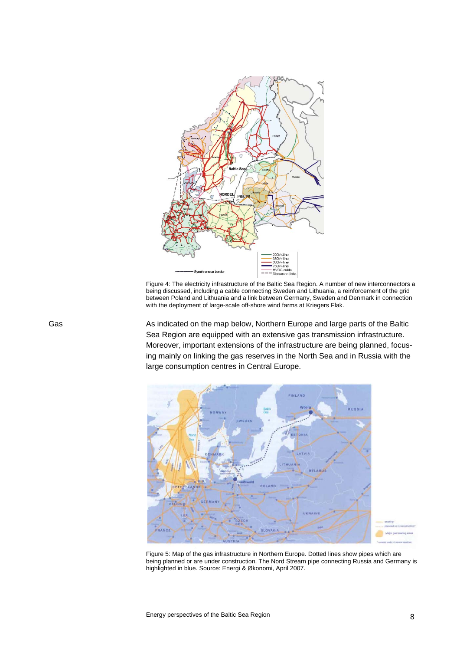

Figure 4: The electricity infrastructure of the Baltic Sea Region. A number of new interconnectors a being discussed, including a cable connecting Sweden and Lithuania, a reinforcement of the grid between Poland and Lithuania and a link between Germany, Sweden and Denmark in connection with the deployment of large-scale off-shore wind farms at Kriegers Flak.

As indicated on the map below, Northern Europe and large parts of the Baltic Sea Region are equipped with an extensive gas transmission infrastructure. Moreover, important extensions of the infrastructure are being planned, focusing mainly on linking the gas reserves in the North Sea and in Russia with the large consumption centres in Central Europe.



Figure 5: Map of the gas infrastructure in Northern Europe. Dotted lines show pipes which are being planned or are under construction. The Nord Stream pipe connecting Russia and Germany is highlighted in blue. Source: Energi & Økonomi, April 2007.

Gas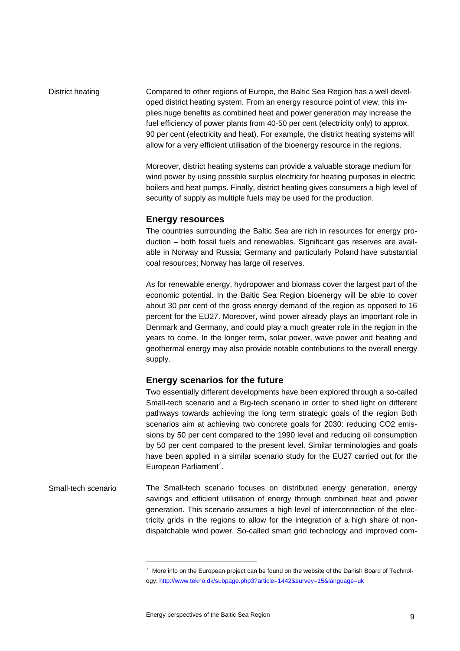Compared to other regions of Europe, the Baltic Sea Region has a well developed district heating system. From an energy resource point of view, this implies huge benefits as combined heat and power generation may increase the fuel efficiency of power plants from 40-50 per cent (electricity only) to approx. 90 per cent (electricity and heat). For example, the district heating systems will allow for a very efficient utilisation of the bioenergy resource in the regions. District heating

> Moreover, district heating systems can provide a valuable storage medium for wind power by using possible surplus electricity for heating purposes in electric boilers and heat pumps. Finally, district heating gives consumers a high level of security of supply as multiple fuels may be used for the production.

#### **Energy resources**

The countries surrounding the Baltic Sea are rich in resources for energy production – both fossil fuels and renewables. Significant gas reserves are available in Norway and Russia; Germany and particularly Poland have substantial coal resources; Norway has large oil reserves.

As for renewable energy, hydropower and biomass cover the largest part of the economic potential. In the Baltic Sea Region bioenergy will be able to cover about 30 per cent of the gross energy demand of the region as opposed to 16 percent for the EU27. Moreover, wind power already plays an important role in Denmark and Germany, and could play a much greater role in the region in the years to come. In the longer term, solar power, wave power and heating and geothermal energy may also provide notable contributions to the overall energy supply.

## **Energy scenarios for the future**

Two essentially different developments have been explored through a so-called Small-tech scenario and a Big-tech scenario in order to shed light on different pathways towards achieving the long term strategic goals of the region Both scenarios aim at achieving two concrete goals for 2030: reducing CO2 emissions by 50 per cent compared to the 1990 level and reducing oil consumption by 50 per cent compared to the present level. Similar terminologies and goals have been applied in a similar scenario study for the EU27 carried out for the European Parliament<sup>7</sup>.

The Small-tech scenario focuses on distributed energy generation, energy savings and efficient utilisation of energy through combined heat and power generation. This scenario assumes a high level of interconnection of the electricity grids in the regions to allow for the integration of a high share of nondispatchable wind power. So-called smart grid technology and improved com- Small-tech scenario

 $7$  More info on the European project can be found on the website of the Danish Board of Technology: http://www.tekno.dk/subpage.php3?article=1442&survey=15&language=uk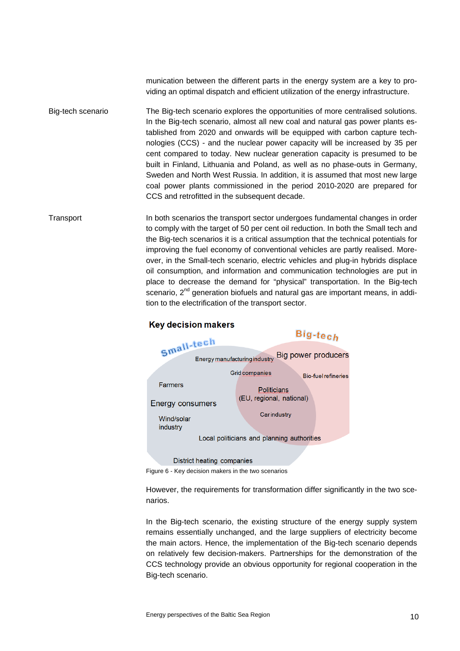munication between the different parts in the energy system are a key to providing an optimal dispatch and efficient utilization of the energy infrastructure.

- The Big-tech scenario explores the opportunities of more centralised solutions. In the Big-tech scenario, almost all new coal and natural gas power plants established from 2020 and onwards will be equipped with carbon capture technologies (CCS) - and the nuclear power capacity will be increased by 35 per cent compared to today. New nuclear generation capacity is presumed to be built in Finland, Lithuania and Poland, as well as no phase-outs in Germany, Sweden and North West Russia. In addition, it is assumed that most new large coal power plants commissioned in the period 2010-2020 are prepared for CCS and retrofitted in the subsequent decade. Big-tech scenario
- In both scenarios the transport sector undergoes fundamental changes in order to comply with the target of 50 per cent oil reduction. In both the Small tech and the Big-tech scenarios it is a critical assumption that the technical potentials for improving the fuel economy of conventional vehicles are partly realised. Moreover, in the Small-tech scenario, electric vehicles and plug-in hybrids displace oil consumption, and information and communication technologies are put in place to decrease the demand for "physical" transportation. In the Big-tech scenario, 2<sup>nd</sup> generation biofuels and natural gas are important means, in addition to the electrification of the transport sector. **Transport**



# **Key decision makers**

Figure 6 - Key decision makers in the two scenarios

However, the requirements for transformation differ significantly in the two scenarios.

In the Big-tech scenario, the existing structure of the energy supply system remains essentially unchanged, and the large suppliers of electricity become the main actors. Hence, the implementation of the Big-tech scenario depends on relatively few decision-makers. Partnerships for the demonstration of the CCS technology provide an obvious opportunity for regional cooperation in the Big-tech scenario.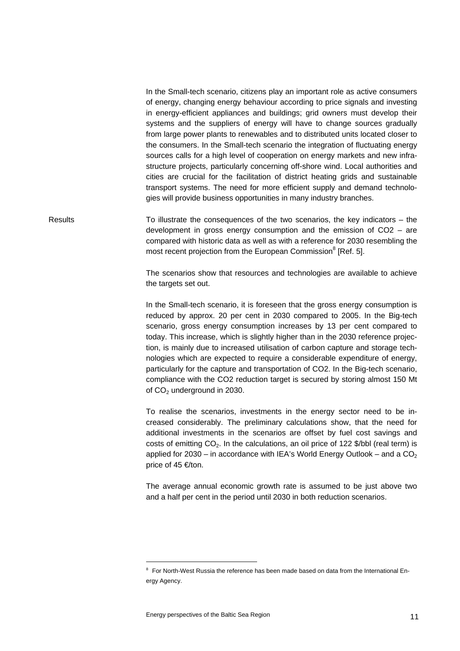In the Small-tech scenario, citizens play an important role as active consumers of energy, changing energy behaviour according to price signals and investing in energy-efficient appliances and buildings; grid owners must develop their systems and the suppliers of energy will have to change sources gradually from large power plants to renewables and to distributed units located closer to the consumers. In the Small-tech scenario the integration of fluctuating energy sources calls for a high level of cooperation on energy markets and new infrastructure projects, particularly concerning off-shore wind. Local authorities and cities are crucial for the facilitation of district heating grids and sustainable transport systems. The need for more efficient supply and demand technologies will provide business opportunities in many industry branches.

To illustrate the consequences of the two scenarios, the key indicators  $-$  the development in gross energy consumption and the emission of CO2 – are compared with historic data as well as with a reference for 2030 resembling the most recent projection from the European Commission<sup>8</sup> [Ref. 5]. Results

> The scenarios show that resources and technologies are available to achieve the targets set out.

> In the Small-tech scenario, it is foreseen that the gross energy consumption is reduced by approx. 20 per cent in 2030 compared to 2005. In the Big-tech scenario, gross energy consumption increases by 13 per cent compared to today. This increase, which is slightly higher than in the 2030 reference projection, is mainly due to increased utilisation of carbon capture and storage technologies which are expected to require a considerable expenditure of energy, particularly for the capture and transportation of CO2. In the Big-tech scenario, compliance with the CO2 reduction target is secured by storing almost 150 Mt of CO<sub>2</sub> underground in 2030.

> To realise the scenarios, investments in the energy sector need to be increased considerably. The preliminary calculations show, that the need for additional investments in the scenarios are offset by fuel cost savings and costs of emitting CO<sub>2</sub>. In the calculations, an oil price of 122 \$/bbl (real term) is applied for 2030 – in accordance with IEA's World Energy Outlook – and a  $CO<sub>2</sub>$ price of 45 €/ton.

> The average annual economic growth rate is assumed to be just above two and a half per cent in the period until 2030 in both reduction scenarios.

<sup>&</sup>lt;sup>8</sup> For North-West Russia the reference has been made based on data from the International Energy Agency.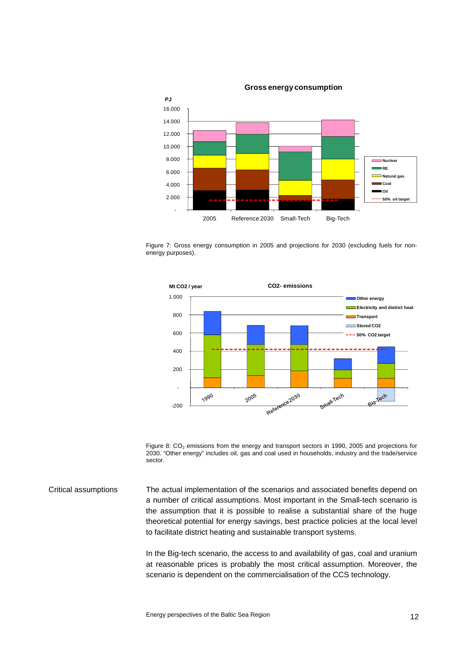**Gross energy consumption** 



Figure 7: Gross energy consumption in 2005 and projections for 2030 (excluding fuels for nonenergy purposes).



Figure 8:  $CO<sub>2</sub>$  emissions from the energy and transport sectors in 1990, 2005 and projections for 2030. "Other energy" includes oil, gas and coal used in households, industry and the trade/service sector.

The actual implementation of the scenarios and associated benefits depend on a number of critical assumptions. Most important in the Small-tech scenario is the assumption that it is possible to realise a substantial share of the huge theoretical potential for energy savings, best practice policies at the local level to facilitate district heating and sustainable transport systems. Critical assumptions

> In the Big-tech scenario, the access to and availability of gas, coal and uranium at reasonable prices is probably the most critical assumption. Moreover, the scenario is dependent on the commercialisation of the CCS technology.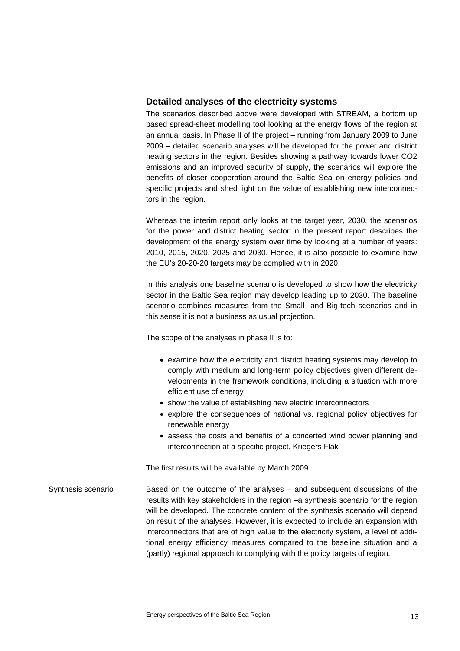# **Detailed analyses of the electricity systems**

The scenarios described above were developed with STREAM, a bottom up based spread-sheet modelling tool looking at the energy flows of the region at an annual basis. In Phase II of the project – running from January 2009 to June 2009 – detailed scenario analyses will be developed for the power and district heating sectors in the region. Besides showing a pathway towards lower CO2 emissions and an improved security of supply, the scenarios will explore the benefits of closer cooperation around the Baltic Sea on energy policies and specific projects and shed light on the value of establishing new interconnectors in the region.

Whereas the interim report only looks at the target year, 2030, the scenarios for the power and district heating sector in the present report describes the development of the energy system over time by looking at a number of years: 2010, 2015, 2020, 2025 and 2030. Hence, it is also possible to examine how the EU's 20-20-20 targets may be complied with in 2020.

In this analysis one baseline scenario is developed to show how the electricity sector in the Baltic Sea region may develop leading up to 2030. The baseline scenario combines measures from the Small- and Big-tech scenarios and in this sense it is not a business as usual projection.

The scope of the analyses in phase II is to:

- examine how the electricity and district heating systems may develop to comply with medium and long-term policy objectives given different developments in the framework conditions, including a situation with more efficient use of energy
- show the value of establishing new electric interconnectors
- explore the consequences of national vs. regional policy objectives for renewable energy
- assess the costs and benefits of a concerted wind power planning and interconnection at a specific project, Kriegers Flak

The first results will be available by March 2009.

Based on the outcome of the analyses – and subsequent discussions of the results with key stakeholders in the region –a synthesis scenario for the region will be developed. The concrete content of the synthesis scenario will depend on result of the analyses. However, it is expected to include an expansion with interconnectors that are of high value to the electricity system, a level of additional energy efficiency measures compared to the baseline situation and a (partly) regional approach to complying with the policy targets of region. Synthesis scenario